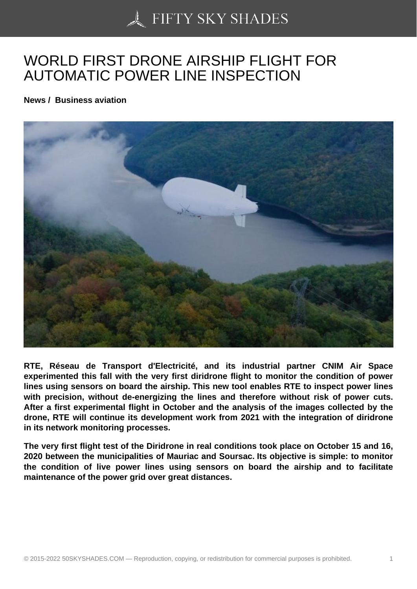## [WORLD FIRST DRON](https://50skyshades.com)E AIRSHIP FLIGHT FOR AUTOMATIC POWER LINE INSPECTION

News / Business aviation

RTE, Réseau de Transport d'Electricité, and its industrial partner CNIM Air Space experimented this fall with the very first diridrone flight to monitor the condition of power lines using sensors on board the airship. This new tool enables RTE to inspect power lines with precision, without de-energizing the lines and therefore without risk of power cuts. After a first experimental flight in October and the analysis of the images collected by the drone, RTE will continue its development work from 2021 with the integration of diridrone in its network monitoring processes.

The very first flight test of the Diridrone in real conditions took place on October 15 and 16, 2020 between the municipalities of Mauriac and Soursac. Its objective is simple: to monitor the condition of live power lines using sensors on board the airship and to facilitate maintenance of the power grid over great distances.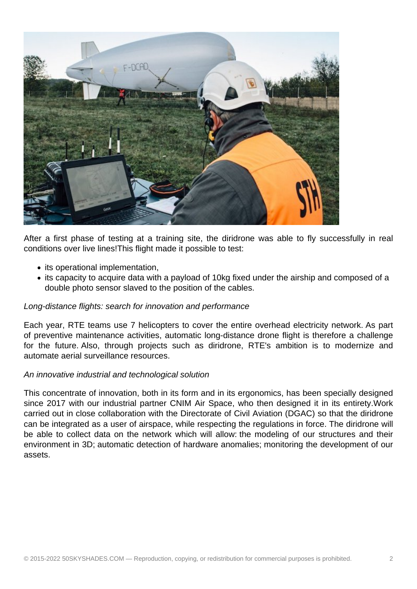

After a first phase of testing at a training site, the diridrone was able to fly successfully in real conditions over live lines!This flight made it possible to test:

- its operational implementation,
- its capacity to acquire data with a payload of 10kg fixed under the airship and composed of a double photo sensor slaved to the position of the cables.

## Long-distance flights: search for innovation and performance

Each year, RTE teams use 7 helicopters to cover the entire overhead electricity network. As part of preventive maintenance activities, automatic long-distance drone flight is therefore a challenge for the future. Also, through projects such as diridrone, RTE's ambition is to modernize and automate aerial surveillance resources.

## An innovative industrial and technological solution

This concentrate of innovation, both in its form and in its ergonomics, has been specially designed since 2017 with our industrial partner CNIM Air Space, who then designed it in its entirety.Work carried out in close collaboration with the Directorate of Civil Aviation (DGAC) so that the diridrone can be integrated as a user of airspace, while respecting the regulations in force. The diridrone will be able to collect data on the network which will allow: the modeling of our structures and their environment in 3D; automatic detection of hardware anomalies; monitoring the development of our assets.